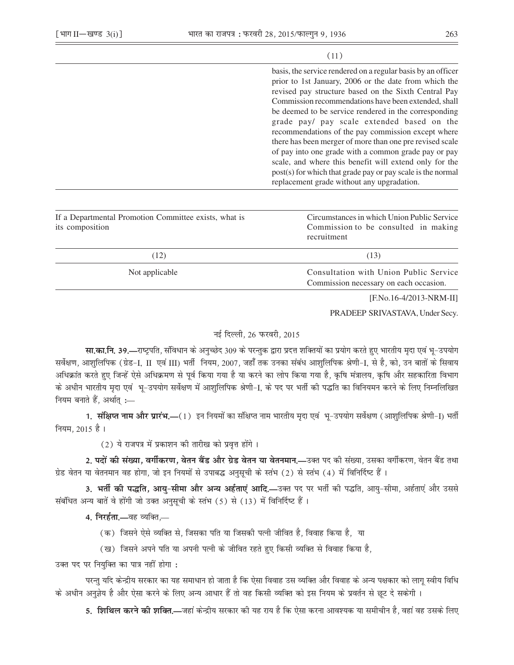## $(11)$

basis, the service rendered on a regular basis by an officer prior to 1st January, 2006 or the date from which the revised pay structure based on the Sixth Central Pay Commission recommendations have been extended, shall be deemed to be service rendered in the corresponding grade pay/ pay scale extended based on the recommendations of the pay commission except where there has been merger of more than one pre revised scale of pay into one grade with a common grade pay or pay scale, and where this benefit will extend only for the post(s) for which that grade pay or pay scale is the normal replacement grade without any upgradation.

| If a Departmental Promotion Committee exists, what is<br>its composition | Circumstances in which Union Public Service<br>Commission to be consulted in making<br>recruitment<br>(13) |  |
|--------------------------------------------------------------------------|------------------------------------------------------------------------------------------------------------|--|
| (12)                                                                     |                                                                                                            |  |
| Not applicable                                                           | Consultation with Union Public Service<br>Commission necessary on each occasion.                           |  |

[F.No.16-4/2013-NRM-II]

PRADEEP SRIVASTAVA, Under Secv.

## नई दिल्ली, 26 फरवरी, 2015

सा.का.नि. 39.—राष्ट्रपति, संविधान के अनुच्छेद 309 के परन्तुक द्वारा प्रदत्त शक्तियों का प्रयोग करते हुए भारतीय मदा एवं भू-उपयोग सर्वेक्षण, आशुलिपिक (ग्रेड-I, II एवं III) भर्ती नियम, 2007, जहाँ तक उनका संबंध आशुलिपिक श्रेणी-I, से है, को, उन बातों के सिवाय अधिक्रांत करते हुए जिन्हें ऐसे अधिक्रमण से पूर्व किया गया है या करने का लोप किया गया है, कृषि मंत्रालय, कृषि और सहकारिता विभाग के अधीन भारतीय मृदा एवं भू-उपयोग सर्वेक्षण में आशुलिपिक श्रेणी-I, के पद पर भर्ती की पद्धति का विनियमन करने के लिए निम्नलिखित नियम बनाते हैं, अर्थात् :-

1. संक्षिप्त नाम और प्रारंभ.—(1) इन नियमों का संक्षिप्त नाम भारतीय मृदा एवं भू-उपयोग सर्वेक्षण (आशुलिपिक श्रेणी-I) भर्ती नियम, 2015 है ।

(2) ये राजपत्र में प्रकाशन की तारीख को प्रवृत्त होंगे।

2. पदों की संख्या, वर्गीकरण, वेतन बैंड और ग्रेड वेतन या वेतनमान.—उक्त पद की संख्या, उसका वर्गीकरण, वेतन बैंड तथा ग्रेड वेतन या वेतनमान वह होगा, जो इन नियमों से उपाबद्ध अनुसूची के स्तंभ (2) से स्तंभ (4) में विनिर्दिष्ट हैं।

3. भर्ती की पद्धति, आयु-सीमा और अन्य अर्हताएं आदि.—उक्त पद पर भर्ती की पद्धति, आयु-सीमा, अर्हताएं और उससे संबंधित अन्य बातें वे होंगी जो उक्त अनुसूची के स्तंभ (5) से (13) में विनिर्दिष्ट हैं।

4. निरर्हता.—वह व्यक्ति.—

- (क) जिसने ऐसे व्यक्ति से, जिसका पति या जिसकी पत्नी जीवित है, विवाह किया है, या
- (ख) जिसने अपने पति या अपनी पत्नी के जीवित रहते हुए किसी व्यक्ति से विवाह किया है,

उक्त पद पर नियुक्ति का पात्र नहीं होगा:

परन्तु यदि केन्द्रीय सरकार का यह समाधान हो जाता है कि ऐसा विवाह उस व्यक्ति और विवाह के अन्य पक्षकार को लागू स्वीय विधि के अधीन अनुज्ञेय है और ऐसा करने के लिए अन्य आधार हैं तो वह किसी व्यक्ति को इस नियम के प्रवर्तन से छूट दे सकेगी ।

5. **शिथिल करने की शक्ति.—**जहां केन्द्रीय सरकार की यह राय है कि ऐसा करना आवश्यक या समीचीन है, वहां वह उसके लिए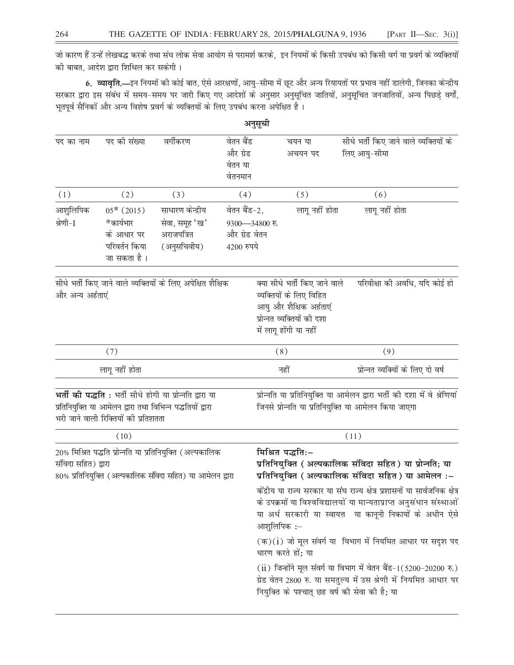जो कारण हैं उन्हें लेखबद्ध करके तथा संध लोक सेवा आयोग से परामर्श करके, इन नियमों के किसी उपबंध को किसी वर्ग या प्रवर्ग के व्यक्तियों की बाबत, आदेश द्वारा शिथिल कर सकेगी।

6. व्यावृति.—इन नियमों की कोई बात, ऐसे आरक्षणों, आयु-सीमा में छूट और अन्य रियायतों पर प्रभाव नहीं डालेगी, जिनका केन्द्रीय सरकार द्वारा इस संबंध में समय-समय पर जारी किए गए आदेशों के अनुसार अनुसूचित जातियों, अनुसूचित जनजातियों, अन्य पिछड़े वर्गों, भूतपूर्व सैनिकों और अन्य विशेष प्रवर्ग के व्यक्तियों के लिए उपबंध करना अपेक्षित है।

|                                                                                                                                              |                                                                         |                                                                                                                               |                                                                                                                                                                                        | अनुसूची                                                                                                                                     |                                                                                                                                                                                                               |                                                                                                                                  |
|----------------------------------------------------------------------------------------------------------------------------------------------|-------------------------------------------------------------------------|-------------------------------------------------------------------------------------------------------------------------------|----------------------------------------------------------------------------------------------------------------------------------------------------------------------------------------|---------------------------------------------------------------------------------------------------------------------------------------------|---------------------------------------------------------------------------------------------------------------------------------------------------------------------------------------------------------------|----------------------------------------------------------------------------------------------------------------------------------|
| पद का नाम                                                                                                                                    | पद की संख्या                                                            | वर्गीकरण                                                                                                                      | वेतन बैंड<br>और ग्रेड<br>वेतन या<br>वेतनमान                                                                                                                                            |                                                                                                                                             | चयन या<br>अचयन पद                                                                                                                                                                                             | सीधे भर्ती किए जाने वाले व्यक्तियों के<br>लिए आयु-सीमा                                                                           |
| (1)                                                                                                                                          | (2)                                                                     | (3)                                                                                                                           | (4)                                                                                                                                                                                    |                                                                                                                                             | (5)                                                                                                                                                                                                           | (6)                                                                                                                              |
| आशुलिपिक<br>श्रेणी-I                                                                                                                         | $05*$ (2015)<br>*कार्यभार<br>के आधार पर<br>परिवर्तन किया<br>जा सकता है। | साधारण केन्द्रीय<br>सेवा, समूह 'ख'<br>अराजपत्रित<br>(अनुसचिवीय)                                                               | वेतन बैंड-2,<br>9300-34800 रु.<br>और ग्रेड वेतन<br>4200 रुपये                                                                                                                          |                                                                                                                                             | लागू नहीं होता                                                                                                                                                                                                | लागू नहीं होता                                                                                                                   |
| सीधे भर्ती किए जाने वाले व्यक्तियों के लिए अपेक्षित शैक्षिक<br>और अन्य अर्हताएं                                                              |                                                                         |                                                                                                                               |                                                                                                                                                                                        | क्या सीधे भर्ती किए जाने वाले<br>व्यक्तियों के लिए विहित<br>आयु और शैक्षिक अर्हताएं<br>प्रोन्नत व्यक्तियों की दशा<br>में लागू होंगी या नहीं | परिवीक्षा की अवधि, यदि कोई हो                                                                                                                                                                                 |                                                                                                                                  |
|                                                                                                                                              | (7)                                                                     |                                                                                                                               |                                                                                                                                                                                        | (8)                                                                                                                                         |                                                                                                                                                                                                               | (9)                                                                                                                              |
| लागू नहीं होता                                                                                                                               |                                                                         |                                                                                                                               |                                                                                                                                                                                        | नहीं                                                                                                                                        |                                                                                                                                                                                                               | प्रोन्नत व्यक्यों के लिए दो वर्ष                                                                                                 |
|                                                                                                                                              | भरी जाने वाली रिक्तियों की प्रतिशतता                                    | <b>भर्ती की पद्धति</b> : भर्ती सीधे होगी या प्रोन्नति द्वारा या<br>प्रतिनियुक्ति या आमेलन द्वारा तथा विभिन्न पद्धतियों द्वारा |                                                                                                                                                                                        |                                                                                                                                             |                                                                                                                                                                                                               | प्रोन्नति या प्रतिनियुक्ति या आमेलन द्वारा भर्ती की दशा में वे श्रेणियां<br>जिनसे प्रोन्नति या प्रतिनियुक्ति या आमेलन किया जाएगा |
| (10)                                                                                                                                         |                                                                         |                                                                                                                               |                                                                                                                                                                                        |                                                                                                                                             | (11)                                                                                                                                                                                                          |                                                                                                                                  |
| 20% मिश्रित पद्धति प्रोन्नति या प्रतिनियुक्ति (अल्पकालिक<br>संविदा सहित) द्वारा<br>80% प्रतिनियुक्ति (अल्पकालिक संविदा सहित) या आमेलन द्वारा |                                                                         |                                                                                                                               |                                                                                                                                                                                        | मिश्रित पद्धतिः-                                                                                                                            | प्रतिनियुक्ति ( अल्पकालिक संविदा सहित ) या प्रोन्नति; या<br>प्रतिनियुक्ति ( अल्पकालिक संविदा सहित ) या आमेलन :-                                                                                               |                                                                                                                                  |
|                                                                                                                                              |                                                                         |                                                                                                                               | आशुलिपिक :-                                                                                                                                                                            |                                                                                                                                             | केंद्रीय या राज्य सरकार या संघ राज्य क्षेत्र प्रशासनों या सार्वजनिक क्षेत्र<br>के उपक्रमों या विश्वविद्यालयों या मान्यताप्राप्त अनुसंधान संस्थाओं<br>या अर्ध सरकारी या स्वायत्त या कानूनी निकायों के अधीन ऐसे |                                                                                                                                  |
|                                                                                                                                              |                                                                         |                                                                                                                               | $(\overline{\sigma})(i)$ जो मूल संवर्ग या विभाग में नियमित आधार पर सदृश पद<br>धारण करते हों; या                                                                                        |                                                                                                                                             |                                                                                                                                                                                                               |                                                                                                                                  |
|                                                                                                                                              |                                                                         |                                                                                                                               | (ii) जिन्होंने मूल संवर्ग या विभाग में वेतन बैंड-1(5200-20200 रु.)<br>ग्रेड वेतन 2800 रु. या समतुल्य में उस श्रेणी में नियमित आधार पर<br>नियुक्ति के पश्चात् छह वर्ष की सेवा की है; या |                                                                                                                                             |                                                                                                                                                                                                               |                                                                                                                                  |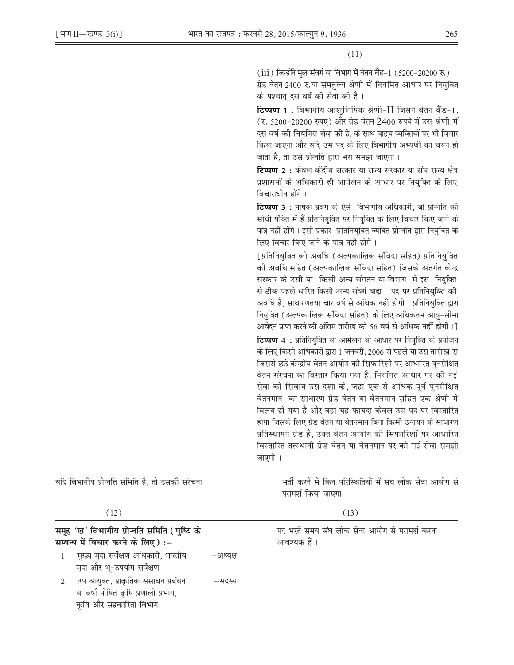$(iii)$  जिन्होंने मूल संवर्ग या विभाग में वेतन बैंड-1  $(5200-20200 \nabla)$ ग्रेड वेतन 2400 रु.या समतुल्य श्रेणी में नियमित आधार पर नियुक्ति के पश्चात दस वर्ष की सेवा की है।

**टिप्पण 1 :** विभागीय आशुलिपिक श्रेणी-II जिसने वेतन बैंड-1, (रु. 5200-20200 रुपए) और ग्रेड वेतन 2400 रुपये में उस श्रेणी में दस वर्ष की नियमित सेवा की है. के साथ बाहय व्यक्तियों पर भी विचार किया जाएगा और यदि उस पद के लिए विभागीय अभ्यर्थी का चयन हो जाता है, तो उसे प्रोन्नति द्वारा भरा समझा जाएगा।

**टिप्पण 2**: केवल केंद्रीय सरकार या राज्य सरकार या संघ राज्य क्षेत्र प्रशासनों के अधिकारी ही आमेलन के आधार पर नियुक्ति के लिए विचाराधीन होंगे।

टिप्पण 3 : पोषक प्रवर्ग के ऐसे विभागीय अधिकारी, जो प्रोन्नति की सीधी पंक्ति में हैं प्रतिनियुक्ति पर नियुक्ति के लिए विचार किए जाने के पात्र नहीं होंगे। इसी प्रकार प्रतिनियुक्ति व्यक्ति प्रोन्नति द्वारा नियुक्ति के लिए विचार किए जाने के पात्र नहीं होंगे।

[प्रतिनियुक्ति को अवधि (अल्पकालिक संविदा सहित) प्रतिनियुक्ति को अवधि सहित (अल्पकालिक संविदा सहित) जिसके अंतर्गत केन्द्र सरकार के उसी या किसी अन्य संगठन या विभाग में इस नियक्ति से ठीक पहले धारित किसी अन्य संवर्ग बाह्य पद पर प्रतिनियुक्ति की अवधि है, साधारणतया चार वर्ष से अधिक नहीं होगी । प्रतिनियुक्ति द्वारा नियुक्ति (अल्पकालिक संविदा सहित) के लिए अधिकतम आयु-सीमा आवेदन प्राप्त करने की अंतिम तारीख को 56 वर्ष से अधिक नहीं होगी ।] टिप्पण 4: प्रतिनियुक्ति या आमेलन के आधार पर नियुक्ति के प्रयोजन के लिए किसी अधिकारी द्वारा 1 जनवरी, 2006 से पहले या उस तारीख से जिससे छठे केन्द्रीय वेतन आयोग की सिफारिशों पर आधारित पनरीक्षित वेतन संरचना का विस्तार किया गया है. नियमित आधार पर की गई सेवा को सिवाय उस दशा के, जहां एक से अधिक पूर्व पुनरीक्षित वेतनमान का साधारण ग्रेड वेतन या वेतनमान सहित एक श्रेणी में विलय हो गया है और वहां यह फायदा केवल उस पद पर विस्तारित होगा जिसके लिए ग्रेड वेतन या वेतनमान बिना किसी उन्नयन के साधारण प्रतिस्थापन ग्रेड है, उक्त वेतन आयोग की सिफारिशों पर आधारित विस्तारित तत्स्थानी ग्रेड वेतन या वेतनमान पर की गई सेवा समझी जाएगी ।

| यदि विभागीय प्रोन्नति समिति है, तो उसकी संरचना                                                                          |          | भर्ती करने में किन परिस्थितियों में संघ लोक सेवा आयोग से<br>परामर्श किया जाएगा |
|-------------------------------------------------------------------------------------------------------------------------|----------|--------------------------------------------------------------------------------|
| (12)                                                                                                                    |          | (13)                                                                           |
| समूह 'ख' विभागीय प्रोन्नति समिति (पुष्टि के<br>सम्बन्ध में विचार करने के लिए):-<br>मुख्य मृदा सर्वेक्षण अधिकारी, भारतीय | –अध्यक्ष | पद भरते समय संघ लोक सेवा आयोग से परामर्श करना<br>आवश्यक हैं ।                  |
| मृदा और भू-उपयोग सर्वेक्षण                                                                                              |          |                                                                                |
| उप आयुक्त, प्राकृतिक संसाधन प्रबंधन<br>2.<br>या वर्षा पोषित कृषि प्रणाली प्रभाग,<br>कृषि और सहकारिता विभाग              | –सदस्य   |                                                                                |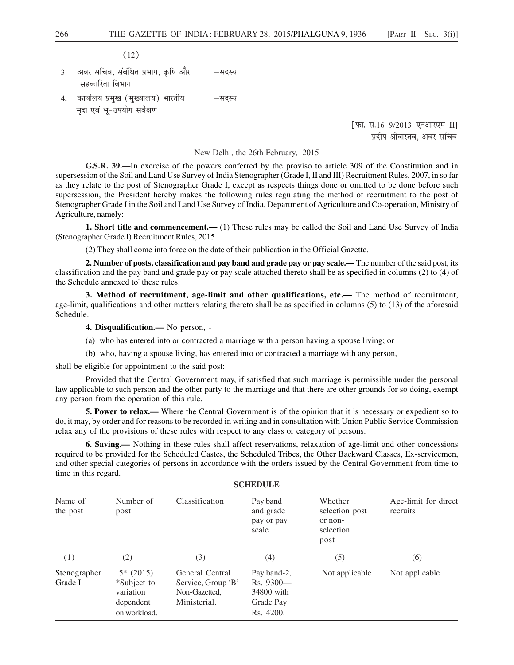|    | (12)                              |        |                              |
|----|-----------------------------------|--------|------------------------------|
| 3. | अवर सचिव, संबंधित प्रभाग, कृषि और | –सदस्य |                              |
|    | सहकारिता विभाग                    |        |                              |
| 4. | कार्यालय प्रमुख (मुख्यालय) भारतीय | –सदस्य |                              |
|    | मृदा एवं भू-उपयोग सर्वेक्षण       |        |                              |
|    |                                   |        | [फा. सं.16-9/2013-एनआरएम-II] |

प्रदीप श्रीवास्तव. अवर सचिव

New Delhi, the 26th February, 2015

**G.S.R. 39.—**In exercise of the powers conferred by the proviso to article 309 of the Constitution and in supersession of the Soil and Land Use Survey of India Stenographer (Grade I, II and III) Recruitment Rules, 2007, in so far as they relate to the post of Stenographer Grade I, except as respects things done or omitted to be done before such supersession, the President hereby makes the following rules regulating the method of recruitment to the post of Stenographer Grade I in the Soil and Land Use Survey of India, Department of Agriculture and Co-operation, Ministry of Agriculture, namely:-

**1. Short title and commencement.—** (1) These rules may be called the Soil and Land Use Survey of India (Stenographer Grade I) Recruitment Rules, 2015.

(2) They shall come into force on the date of their publication in the Official Gazette.

**2. Number of posts, classification and pay band and grade pay or pay scale.—** The number of the said post, its classification and the pay band and grade pay or pay scale attached thereto shall be as specified in columns (2) to (4) of the Schedule annexed to' these rules.

**3. Method of recruitment, age-limit and other qualifications, etc.—** The method of recruitment, age-limit, qualifications and other matters relating thereto shall be as specified in columns (5) to (13) of the aforesaid Schedule.

**4. Disqualification.—** No person, -

- (a) who has entered into or contracted a marriage with a person having a spouse living; or
- (b) who, having a spouse living, has entered into or contracted a marriage with any person,

shall be eligible for appointment to the said post:

Provided that the Central Government may, if satisfied that such marriage is permissible under the personal law applicable to such person and the other party to the marriage and that there are other grounds for so doing, exempt any person from the operation of this rule.

**5. Power to relax.—** Where the Central Government is of the opinion that it is necessary or expedient so to do, it may, by order and for reasons to be recorded in writing and in consultation with Union Public Service Commission relax any of the provisions of these rules with respect to any class or category of persons.

**6. Saving.—** Nothing in these rules shall affect reservations, relaxation of age-limit and other concessions required to be provided for the Scheduled Castes, the Scheduled Tribes, the Other Backward Classes, Ex-servicemen, and other special categories of persons in accordance with the orders issued by the Central Government from time to time in this regard.

| Name of<br>the post     | Number of<br>post                                                    | Classification                                                         | Pay band<br>and grade<br>pay or pay<br>scale                        | Whether<br>selection post<br>or non-<br>selection<br>post | Age-limit for direct<br>recruits |
|-------------------------|----------------------------------------------------------------------|------------------------------------------------------------------------|---------------------------------------------------------------------|-----------------------------------------------------------|----------------------------------|
| (1)                     | (2)                                                                  | (3)                                                                    | (4)                                                                 | (5)                                                       | (6)                              |
| Stenographer<br>Grade I | $5*$ (2015)<br>*Subject to<br>variation<br>dependent<br>on workload. | General Central<br>Service, Group 'B'<br>Non-Gazetted,<br>Ministerial. | Pay band-2,<br>$Rs. 9300 -$<br>34800 with<br>Grade Pay<br>Rs. 4200. | Not applicable                                            | Not applicable                   |

**SCHEDULE**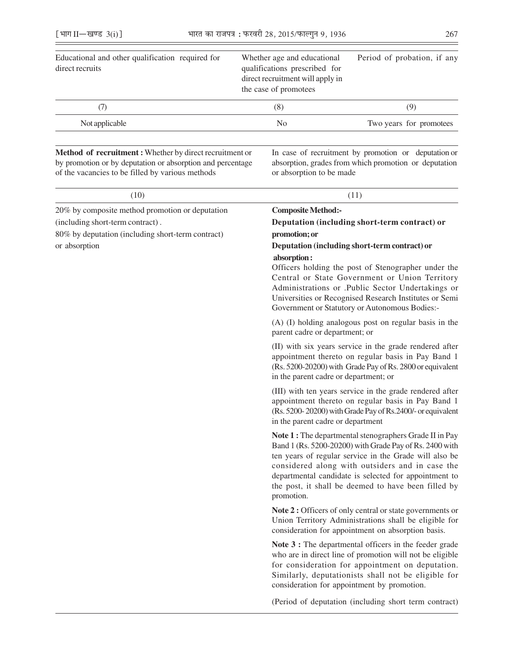| Educational and other qualification required for<br>direct recruits | Whether age and educational<br>qualifications prescribed for<br>direct recruitment will apply in<br>the case of promotees | Period of probation, if any |
|---------------------------------------------------------------------|---------------------------------------------------------------------------------------------------------------------------|-----------------------------|
| (7)                                                                 | (8)                                                                                                                       | (9)                         |
| Not applicable                                                      | No                                                                                                                        | Two years for promotees     |
|                                                                     |                                                                                                                           |                             |
|                                                                     |                                                                                                                           |                             |

by promotion or by deputation or absorption and percentage absorption, grades from which promotion or deputation of the vacancies to be filled by various methods or absorption to be made

Method of recruitment : Whether by direct recruitment or In case of recruitment by promotion or deputation or

| (10)                                              | (11)                                                                                                                                                                                                                                                                                                                                                          |  |  |
|---------------------------------------------------|---------------------------------------------------------------------------------------------------------------------------------------------------------------------------------------------------------------------------------------------------------------------------------------------------------------------------------------------------------------|--|--|
| 20% by composite method promotion or deputation   | <b>Composite Method:-</b>                                                                                                                                                                                                                                                                                                                                     |  |  |
| (including short-term contract).                  | Deputation (including short-term contract) or                                                                                                                                                                                                                                                                                                                 |  |  |
| 80% by deputation (including short-term contract) | promotion; or                                                                                                                                                                                                                                                                                                                                                 |  |  |
| or absorption                                     | Deputation (including short-term contract) or                                                                                                                                                                                                                                                                                                                 |  |  |
|                                                   | absorption:<br>Officers holding the post of Stenographer under the<br>Central or State Government or Union Territory<br>Administrations or .Public Sector Undertakings or<br>Universities or Recognised Research Institutes or Semi<br>Government or Statutory or Autonomous Bodies:-                                                                         |  |  |
|                                                   | (A) (I) holding analogous post on regular basis in the<br>parent cadre or department; or                                                                                                                                                                                                                                                                      |  |  |
|                                                   | (II) with six years service in the grade rendered after<br>appointment thereto on regular basis in Pay Band 1<br>(Rs. 5200-20200) with Grade Pay of Rs. 2800 or equivalent<br>in the parent cadre or department; or                                                                                                                                           |  |  |
|                                                   | (III) with ten years service in the grade rendered after<br>appointment thereto on regular basis in Pay Band 1<br>(Rs. 5200-20200) with Grade Pay of Rs.2400/- or equivalent<br>in the parent cadre or department                                                                                                                                             |  |  |
|                                                   | Note 1 : The departmental stenographers Grade II in Pay<br>Band 1 (Rs. 5200-20200) with Grade Pay of Rs. 2400 with<br>ten years of regular service in the Grade will also be<br>considered along with outsiders and in case the<br>departmental candidate is selected for appointment to<br>the post, it shall be deemed to have been filled by<br>promotion. |  |  |
|                                                   | Note 2 : Officers of only central or state governments or<br>Union Territory Administrations shall be eligible for<br>consideration for appointment on absorption basis.                                                                                                                                                                                      |  |  |
|                                                   | Note 3 : The departmental officers in the feeder grade<br>who are in direct line of promotion will not be eligible<br>for consideration for appointment on deputation.<br>Similarly, deputationists shall not be eligible for<br>consideration for appointment by promotion.                                                                                  |  |  |
|                                                   | (Period of deputation (including short term contract)                                                                                                                                                                                                                                                                                                         |  |  |